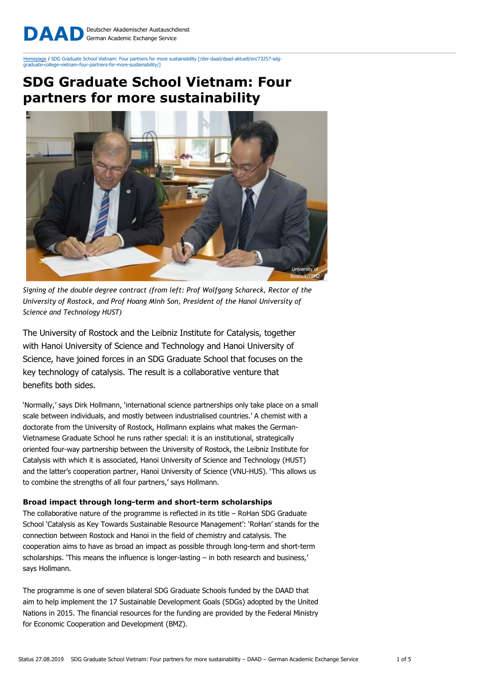Deutscher Akademischer Austauschdienst German Academic Exchange Service DAAD

Homepage / SDG Graduate School Vietnam: Four partners for more sustainability [/der-daad/daad-aktuell/en/73257-sdg--vietnam-four-partners-for-more-sustainability/1

# SDG Graduate School Vietnam: Four partners for more sustainability



Signing of the double degree contract (from left: Prof Wolfgang Schareck, Rector of the University of Rostock, and Prof Hoang Minh Son, President of the Hanoi University of Science and Technology HUST)

The University of Rostock and the Leibniz Institute for Catalysis, together with Hanoi University of Science and Technology and Hanoi University of Science, have joined forces in an SDG Graduate School that focuses on the key technology of catalysis. The result is a collaborative venture that benefits both sides.

'Normally,' says Dirk Hollmann, 'international science partnerships only take place on a small scale between individuals, and mostly between industrialised countries.' A chemist with a doctorate from the University of Rostock, Hollmann explains what makes the German-Vietnamese Graduate School he runs rather special: it is an institutional, strategically oriented four-way partnership between the University of Rostock, the Leibniz Institute for Catalysis with which it is associated, Hanoi University of Science and Technology (HUST) and the latter's cooperation partner, Hanoi University of Science (VNU-HUS). 'This allows us to combine the strengths of all four partners,' says Hollmann.

## Broad impact through long-term and short-term scholarships

The collaborative nature of the programme is reflected in its title – RoHan SDG Graduate School 'Catalysis as Key Towards Sustainable Resource Management': 'RoHan' stands for the connection between Rostock and Hanoi in the field of chemistry and catalysis. The cooperation aims to have as broad an impact as possible through long-term and short-term scholarships. 'This means the influence is longer-lasting – in both research and business,' says Hollmann.

The programme is one of seven bilateral SDG Graduate Schools funded by the DAAD that aim to help implement the 17 Sustainable Development Goals (SDGs) adopted by the United Nations in 2015. The financial resources for the funding are provided by the Federal Ministry for Economic Cooperation and Development (BMZ).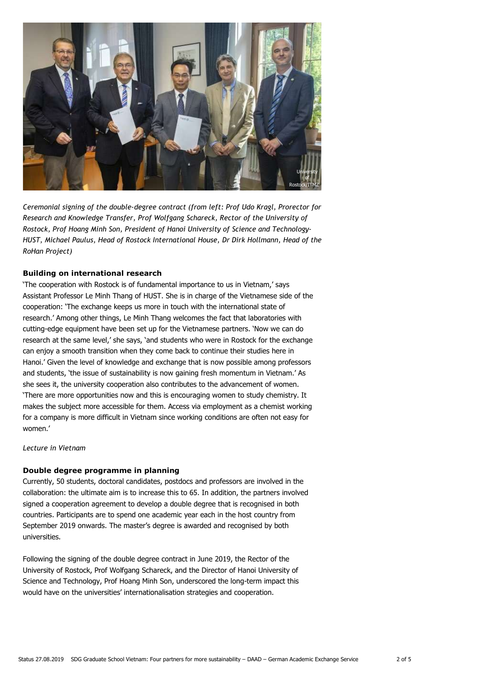

Ceremonial signing of the double-degree contract (from left: Prof Udo Kragl, Prorector for Research and Knowledge Transfer, Prof Wolfgang Schareck, Rector of the University of Rostock, Prof Hoang Minh Son, President of Hanoi University of Science and Technology-HUST, Michael Paulus, Head of Rostock International House, Dr Dirk Hollmann, Head of the RoHan Project)

# Building on international research

'The cooperation with Rostock is of fundamental importance to us in Vietnam,' says Assistant Professor Le Minh Thang of HUST. She is in charge of the Vietnamese side of the cooperation: 'The exchange keeps us more in touch with the international state of research.' Among other things, Le Minh Thang welcomes the fact that laboratories with cutting-edge equipment have been set up for the Vietnamese partners. 'Now we can do research at the same level,' she says, 'and students who were in Rostock for the exchange can enjoy a smooth transition when they come back to continue their studies here in Hanoi.' Given the level of knowledge and exchange that is now possible among professors and students, 'the issue of sustainability is now gaining fresh momentum in Vietnam.' As she sees it, the university cooperation also contributes to the advancement of women. 'There are more opportunities now and this is encouraging women to study chemistry. It makes the subject more accessible for them. Access via employment as a chemist working for a company is more difficult in Vietnam since working conditions are often not easy for women.'

Lecture in Vietnam

#### Double degree programme in planning

Currently, 50 students, doctoral candidates, postdocs and professors are involved in the collaboration: the ultimate aim is to increase this to 65. In addition, the partners involved signed a cooperation agreement to develop a double degree that is recognised in both countries. Participants are to spend one academic year each in the host country from September 2019 onwards. The master's degree is awarded and recognised by both universities.

Following the signing of the double degree contract in June 2019, the Rector of the University of Rostock, Prof Wolfgang Schareck, and the Director of Hanoi University of Science and Technology, Prof Hoang Minh Son, underscored the long-term impact this would have on the universities' internationalisation strategies and cooperation.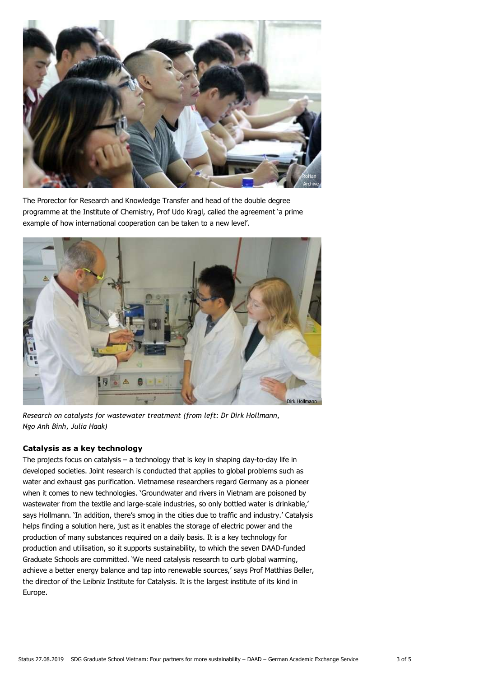

The Prorector for Research and Knowledge Transfer and head of the double degree programme at the Institute of Chemistry, Prof Udo Kragl, called the agreement 'a prime example of how international cooperation can be taken to a new level'.



Research on catalysts for wastewater treatment (from left: Dr Dirk Hollmann, Ngo Anh Binh, Julia Haak)

# Catalysis as a key technology

The projects focus on catalysis  $-$  a technology that is key in shaping day-to-day life in developed societies. Joint research is conducted that applies to global problems such as water and exhaust gas purification. Vietnamese researchers regard Germany as a pioneer when it comes to new technologies. 'Groundwater and rivers in Vietnam are poisoned by wastewater from the textile and large-scale industries, so only bottled water is drinkable,' says Hollmann. 'In addition, there's smog in the cities due to traffic and industry.' Catalysis helps finding a solution here, just as it enables the storage of electric power and the production of many substances required on a daily basis. It is a key technology for production and utilisation, so it supports sustainability, to which the seven DAAD-funded Graduate Schools are committed. 'We need catalysis research to curb global warming, achieve a better energy balance and tap into renewable sources,' says Prof Matthias Beller, the director of the Leibniz Institute for Catalysis. It is the largest institute of its kind in Europe.